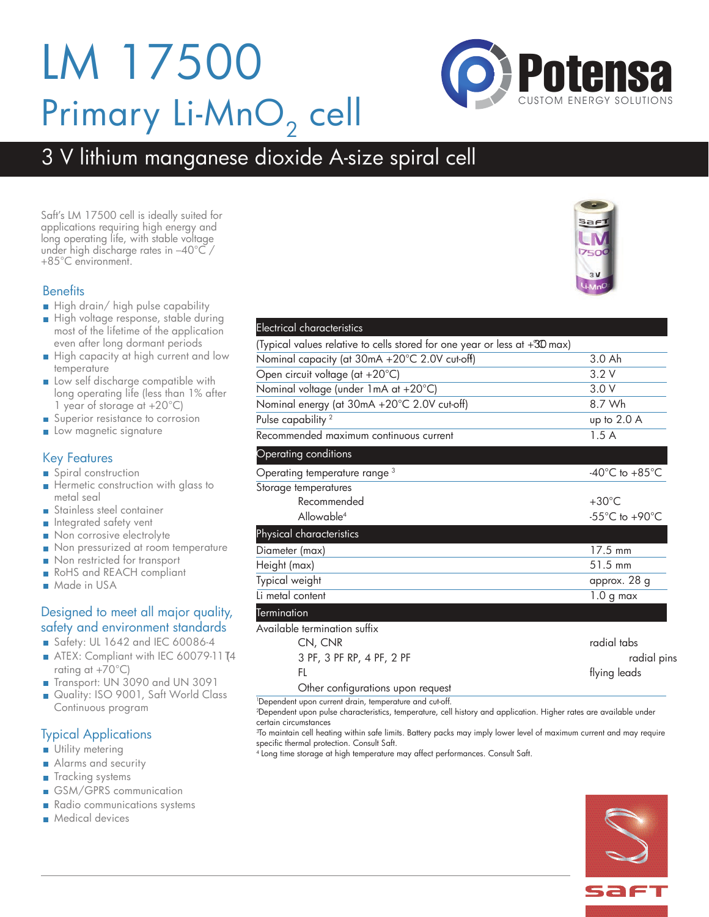## LM 17500 Primary Li-MnO<sub>2</sub> cell

### 3 V lithium manganese dioxide A-size spiral cell

Saft's LM 17500 cell is ideally suited for applications requiring high energy and long operating life, with stable voltage under high discharge rates in -40°C / +85°C environment.

### **Benefits**

- High drain/ high pulse capability
- High voltage response, stable during most of the lifetime of the application even after long dormant periods
- High capacity at high current and low temperature
- **Low self discharge compatible with** long operating life (less than 1% after 1 year of storage at +20°C)
- Superior resistance to corrosion
- **Low magnetic signature**

### Key Features

- Spiral construction
- Hermetic construction with glass to metal seal
- Stainless steel container
- **n** Integrated safety vent
- Non corrosive electrolyte
- Non pressurized at room temperature
- Non restricted for transport
- RoHS and REACH compliant
- **Made in USA**

### Designed to meet all major quality, safety and environment standards

- Safety: UL 1642 and IEC 60086-4
- ATEX: Compliant with IEC 60079-11 T4 rating at +70°C)
- Transport: UN 3090 and UN 3091
- Quality: ISO 9001, Saft World Class Continuous program

### Typical Applications

- **Utility metering**
- Alarms and security
- **Tracking systems**
- GSM/GPRS communication
- Radio communications systems
- **Medical devices**

| Electrical characteristics                                                |                                    |
|---------------------------------------------------------------------------|------------------------------------|
| (Typical values relative to cells stored for one year or less at +30 max) |                                    |
| Nominal capacity (at 30mA +20°C 2.0V cut-off)                             | 3.0 Ah                             |
| Open circuit voltage (at +20°C)                                           | 3.2V                               |
| Nominal voltage (under 1mA at +20°C)                                      | 3.0V                               |
| Nominal energy (at 30mA +20°C 2.0V cut-off)                               | 8.7 Wh                             |
| Pulse capability <sup>2</sup>                                             | up to 2.0 A                        |
| Recommended maximum continuous current                                    | 1.5A                               |
| Operating conditions                                                      |                                    |
| Operating temperature range <sup>3</sup>                                  | $-40^{\circ}$ C to $+85^{\circ}$ C |
| Storage temperatures                                                      |                                    |
| Recommended                                                               | $+30^{\circ}$ C                    |
| Allowable <sup>4</sup>                                                    | $-55^{\circ}$ C to $+90^{\circ}$ C |
| Physical characteristics                                                  |                                    |
| Diameter (max)                                                            | 17.5 mm                            |
| Height (max)                                                              | 51.5 mm                            |
| Typical weight                                                            | approx. 28 g                       |
| Li metal content                                                          | $1.0g$ max                         |
| Termination                                                               |                                    |
| Available termination suffix                                              |                                    |
| CN, CNR                                                                   | radial tabs                        |
| 3 PF, 3 PF RP, 4 PF, 2 PF                                                 | radial pins                        |
| FL                                                                        | flying leads                       |

Other configurations upon request

1 Dependent upon current drain, temperature and cut-off.

2 Dependent upon pulse characteristics, temperature, cell history and application. Higher rates are available under certain circumstances

3 To maintain cell heating within safe limits. Battery packs may imply lower level of maximum current and may require specific thermal protection. Consult Saft.

<sup>4</sup> Long time storage at high temperature may affect performances. Consult Saft.